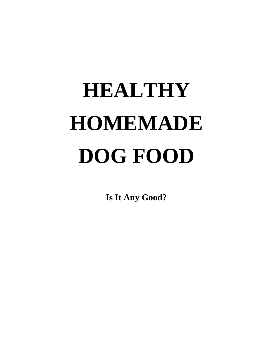# **HEALTHY HOMEMADE DOG FOOD**

**Is It Any Good?**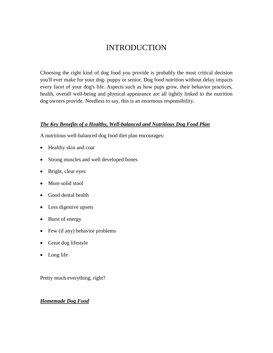# INTRODUCTION

Choosing the right kind of dog food you provide is probably the most critical decision you'll ever make for your dog- puppy or senior. Dog food nutrition without delay impacts every facet of your dog's life. Aspects such as how pups grow, their behavior practices, health, overall well-being and physical appearance are all tightly linked to the nutrition dog owners provide. Needless to say, this is an enormous responsibility.

#### *The Key Benefits of a Healthy, Well-balanced and Nutritious Dog Food Plan*

A nutritious well-balanced dog food diet plan encourages:

- Healthy skin and coat
- Strong muscles and well developed bones
- Bright, clear eyes
- More solid stool
- Good dental health
- Less digestive upsets
- Burst of energy
- Few (if any) behavior problems
- Great dog lifestyle
- Long life

Pretty much everything, right?

#### *Homemade Dog Food*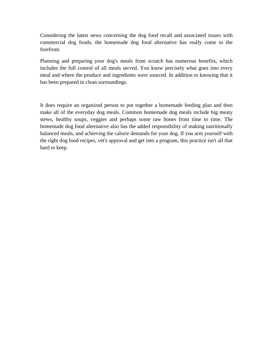Considering the latest news concerning the dog food recall and associated issues with commercial dog foods, the homemade dog food alternative has really come to the forefront.

Planning and preparing your dog's meals from scratch has numerous benefits, which includes the full control of all meals served. You know precisely what goes into every meal and where the produce and ingredients were sourced. In addition to knowing that it has been prepared in clean surroundings.

It does require an organized person to put together a homemade feeding plan and then make all of the everyday dog meals. Common homemade dog meals include big meaty stews, healthy soups, veggies and perhaps some raw bones from time to time. The homemade dog food alternative also has the added responsibility of making nutritionally balanced meals, and achieving the calorie demands for your dog. If you arm yourself with the right dog food recipes, vet's approval and get into a program, this practice isn't all that hard to keep.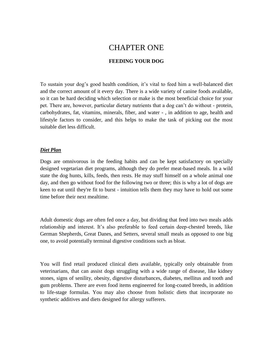# CHAPTER ONE

# **FEEDING YOUR DOG**

To sustain your dog's good health condition, it's vital to feed him a well-balanced diet and the correct amount of it every day. There is a wide variety of canine foods available, so it can be hard deciding which selection or make is the most beneficial choice for your pet. There are, however, particular dietary nutrients that a dog can't do without - protein, carbohydrates, fat, vitamins, minerals, fiber, and water - , in addition to age, health and lifestyle factors to consider, and this helps to make the task of picking out the most suitable diet less difficult.

#### *Diet Plan*

Dogs are omnivorous in the feeding habits and can be kept satisfactory on specially designed vegetarian diet programs, although they do prefer meat-based meals. In a wild state the dog hunts, kills, feeds, then rests. He may stuff himself on a whole animal one day, and then go without food for the following two or three; this is why a lot of dogs are keen to eat until they're fit to burst - intuition tells them they may have to hold out some time before their next mealtime.

Adult domestic dogs are often fed once a day, but dividing that feed into two meals adds relationship and interest. It's also preferable to feed certain deep-chested breeds, like German Shepherds, Great Danes, and Setters, several small meals as opposed to one big one, to avoid potentially terminal digestive conditions such as bloat.

You will find retail produced clinical diets available, typically only obtainable from veterinarians, that can assist dogs struggling with a wide range of disease, like kidney stones, signs of senility, obesity, digestive disturbances, diabetes, mellitus and tooth and gum problems. There are even food items engineered for long-coated breeds, in addition to life-stage formulas. You may also choose from holistic diets that incorporate no synthetic additives and diets designed for allergy sufferers.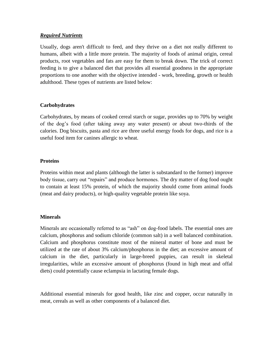#### *Required Nutrients*

Usually, dogs aren't difficult to feed, and they thrive on a diet not really different to humans, albeit with a little more protein. The majority of foods of animal origin, cereal products, root vegetables and fats are easy for them to break down. The trick of correct feeding is to give a balanced diet that provides all essential goodness in the appropriate proportions to one another with the objective intended - work, breeding, growth or health adulthood. These types of nutrients are listed below:

#### **Carbohydrates**

Carbohydrates, by means of cooked cereal starch or sugar, provides up to 70% by weight of the dog's food (after taking away any water present) or about two-thirds of the calories. Dog biscuits, pasta and rice are three useful energy foods for dogs, and rice is a useful food item for canines allergic to wheat.

#### **Proteins**

Proteins within meat and plants (although the latter is substandard to the former) improve body tissue, carry out "repairs" and produce hormones. The dry matter of dog food ought to contain at least 15% protein, of which the majority should come from animal foods (meat and dairy products), or high-quality vegetable protein like soya.

#### **Minerals**

Minerals are occasionally referred to as "ash" on dog-food labels. The essential ones are calcium, phosphorus and sodium chloride (common salt) in a well balanced combination. Calcium and phosphorus constitute most of the mineral matter of bone and must be utilized at the rate of about 3% calcium/phosphorus in the diet; an excessive amount of calcium in the diet, particularly in large-breed puppies, can result in skeletal irregularities, while an excessive amount of phosphorus (found in high meat and offal diets) could potentially cause eclampsia in lactating female dogs.

Additional essential minerals for good health, like zinc and copper, occur naturally in meat, cereals as well as other components of a balanced diet.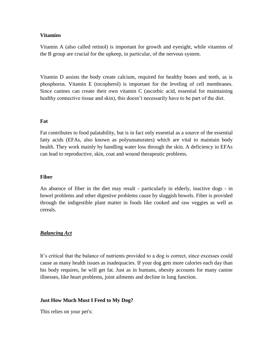#### **Vitamins**

Vitamin A (also called retinol) is important for growth and eyesight, while vitamins of the B group are crucial for the upkeep, in particular, of the nervous system.

Vitamin D assists the body create calcium, required for healthy bones and teeth, as is phosphorus. Vitamin E (tocopherol) is important for the leveling of cell membranes. Since canines can create their own vitamin C (ascorbic acid, essential for maintaining healthy connective tissue and skin), this doesn't necessarily have to be part of the diet.

#### **Fat**

Fat contributes to food palatability, but is in fact only essential as a source of the essential fatty acids (EFAs, also known as polyunsaturates) which are vital to maintain body health. They work mainly by handling water loss through the skin. A deficiency in EFAs can lead to reproductive, skin, coat and wound therapeutic problems.

#### **Fiber**

An absence of fiber in the diet may result - particularly in elderly, inactive dogs - in bowel problems and other digestive problems cause by sluggish bowels. Fiber is provided through the indigestible plant matter in foods like cooked and raw veggies as well as cereals.

#### *Balancing Act*

It's critical that the balance of nutrients provided to a dog is correct, since excesses could cause as many health issues as inadequacies. If your dog gets more calories each day than his body requires, he will get fat. Just as in humans, obesity accounts for many canine illnesses, like heart problems, joint ailments and decline in lung function.

#### **Just How Much Must I Feed to My Dog?**

This relies on your pet's: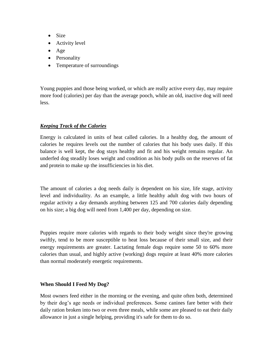- Size
- Activity level
- Age
- Personality
- Temperature of surroundings

Young puppies and those being worked, or which are really active every day, may require more food (calories) per day than the average pooch, while an old, inactive dog will need less.

# *Keeping Track of the Calories*

Energy is calculated in units of heat called calories. In a healthy dog, the amount of calories he requires levels out the number of calories that his body uses daily. If this balance is well kept, the dog stays healthy and fit and his weight remains regular. An underfed dog steadily loses weight and condition as his body pulls on the reserves of fat and protein to make up the insufficiencies in his diet.

The amount of calories a dog needs daily is dependent on his size, life stage, activity level and individuality. As an example, a little healthy adult dog with two hours of regular activity a day demands anything between 125 and 700 calories daily depending on his size; a big dog will need from 1,400 per day, depending on size.

Puppies require more calories with regards to their body weight since they're growing swiftly, tend to be more susceptible to heat loss because of their small size, and their energy requirements are greater. Lactating female dogs require some 50 to 60% more calories than usual, and highly active (working) dogs require at least 40% more calories than normal moderately energetic requirements.

# **When Should I Feed My Dog?**

Most owners feed either in the morning or the evening, and quite often both, determined by their dog's age needs or individual preferences. Some canines fare better with their daily ration broken into two or even three meals, while some are pleased to eat their daily allowance in just a single helping, providing it's safe for them to do so.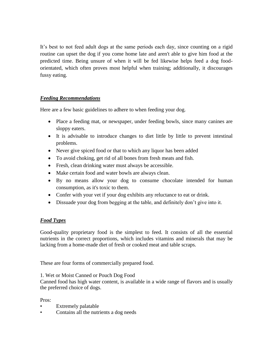It's best to not feed adult dogs at the same periods each day, since counting on a rigid routine can upset the dog if you come home late and aren't able to give him food at the predicted time. Being unsure of when it will be fed likewise helps feed a dog foodorientated, which often proves most helpful when training; additionally, it discourages fussy eating.

# *Feeding Recommendations*

Here are a few basic guidelines to adhere to when feeding your dog.

- Place a feeding mat, or newspaper, under feeding bowls, since many canines are sloppy eaters.
- It is advisable to introduce changes to diet little by little to prevent intestinal problems.
- Never give spiced food or that to which any liquor has been added
- To avoid choking, get rid of all bones from fresh meats and fish.
- Fresh, clean drinking water must always be accessible.
- Make certain food and water bowls are always clean.
- By no means allow your dog to consume chocolate intended for human consumption, as it's toxic to them.
- Confer with your vet if your dog exhibits any reluctance to eat or drink.
- Dissuade your dog from begging at the table, and definitely don't give into it.

# *Food Types*

Good-quality proprietary food is the simplest to feed. It consists of all the essential nutrients in the correct proportions, which includes vitamins and minerals that may be lacking from a home-made diet of fresh or cooked meat and table scraps.

These are four forms of commercially prepared food.

1. Wet or Moist Canned or Pouch Dog Food

Canned food has high water content, is available in a wide range of flavors and is usually the preferred choice of dogs.

Pros:

- Extremely palatable
- Contains all the nutrients a dog needs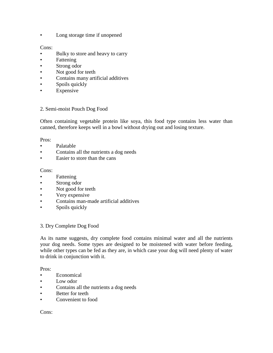• Long storage time if unopened

#### Cons:

- Bulky to store and heavy to carry
- Fattening
- Strong odor
- Not good for teeth
- Contains many artificial additives
- Spoils quickly
- **Expensive**

#### 2. Semi-moist Pouch Dog Food

Often containing vegetable protein like soya, this food type contains less water than canned, therefore keeps well in a bowl without drying out and losing texture.

#### Pros:

- Palatable
- Contains all the nutrients a dog needs
- Easier to store than the cans

#### Cons:

- **Fattening**
- Strong odor
- Not good for teeth
- Very expensive
- Contains man-made artificial additives
- Spoils quickly

#### 3. Dry Complete Dog Food

As its name suggests, dry complete food contains minimal water and all the nutrients your dog needs. Some types are designed to be moistened with water before feeding, while other types can be fed as they are, in which case your dog will need plenty of water to drink in conjunction with it.

#### Pros:

- **Economical**
- Low odor
- Contains all the nutrients a dog needs
- Better for teeth
- Convenient to food

#### Cons: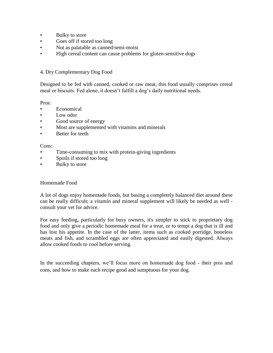- Bulky to store
- Goes off if stored too long
- Not as palatable as canned/semi-moist
- High cereal content can cause problems for gluten-sensitive dogs

#### 4. Dry Complementary Dog Food

Designed to be fed with canned, cooked or raw meat, this food usually comprises cereal meal or biscuits. Fed alone, it doesn't fulfill a dog's daily nutritional needs.

Pros:

- **Economical**
- Low odor
- Good source of energy
- Most are supplemented with vitamins and minerals
- Better for teeth

#### Cons:

- Time-consuming to mix with protein-giving ingredients
- Spoils if stored too long
- Bulky to store

#### Homemade Food

A lot of dogs enjoy homemade foods, but basing a completely balanced diet around these can be really difficult; a vitamin and mineral supplement will likely be needed as well consult your vet for advice.

For easy feeding, particularly for busy owners, it's simpler to stick to proprietary dog food and only give a periodic homemade meal for a treat, or to tempt a dog that is ill and has lost his appetite. In the case of the latter, items such as cooked porridge, boneless meats and fish, and scrambled eggs are often appreciated and easily digested. Always allow cooked foods to cool before serving.

In the succeeding chapters, we'll focus more on homemade dog food - their pros and cons, and how to make each recipe good and sumptuous for your dog.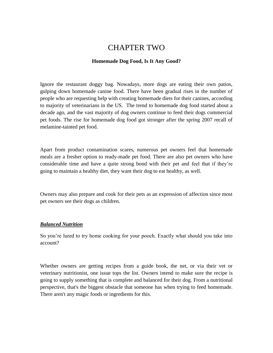# CHAPTER TWO

## **Homemade Dog Food, Is It Any Good?**

Ignore the restaurant doggy bag. Nowadays, more dogs are eating their own patios, gulping down homemade canine food. There have been gradual rises in the number of people who are requesting help with creating homemade diets for their canines, according to majority of veterinarians in the US. The trend to homemade dog food started about a decade ago, and the vast majority of dog owners continue to feed their dogs commercial pet foods. The rise for homemade dog food got stronger after the spring 2007 recall of melamine-tainted pet food.

Apart from product contamination scares, numerous pet owners feel that homemade meals are a fresher option to ready-made pet food. There are also pet owners who have considerable time and have a quite strong bond with their pet and feel that if they're going to maintain a healthy diet, they want their dog to eat healthy, as well.

Owners may also prepare and cook for their pets as an expression of affection since most pet owners see their dogs as children.

# *Balanced Nutrition*

So you're lured to try home cooking for your pooch. Exactly what should you take into account?

Whether owners are getting recipes from a guide book, the net, or via their vet or veterinary nutritionist, one issue tops the list. Owners intend to make sure the recipe is going to supply something that is complete and balanced for their dog. From a nutritional perspective, that's the biggest obstacle that someone has when trying to feed homemade. There aren't any magic foods or ingredients for this.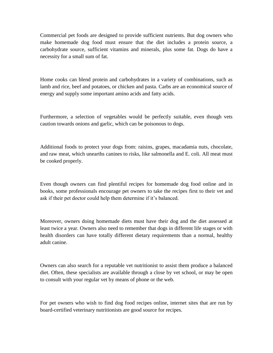Commercial pet foods are designed to provide sufficient nutrients. But dog owners who make homemade dog food must ensure that the diet includes a protein source, a carbohydrate source, sufficient vitamins and minerals, plus some fat. Dogs do have a necessity for a small sum of fat.

Home cooks can blend protein and carbohydrates in a variety of combinations, such as lamb and rice, beef and potatoes, or chicken and pasta. Carbs are an economical source of energy and supply some important amino acids and fatty acids.

Furthermore, a selection of vegetables would be perfectly suitable, even though vets caution towards onions and garlic, which can be poisonous to dogs.

Additional foods to protect your dogs from: raisins, grapes, macadamia nuts, chocolate, and raw meat, which unearths canines to risks, like salmonella and E. coli. All meat must be cooked properly.

Even though owners can find plentiful recipes for homemade dog food online and in books, some professionals encourage pet owners to take the recipes first to their vet and ask if their pet doctor could help them determine if it's balanced.

Moreover, owners doing homemade diets must have their dog and the diet assessed at least twice a year. Owners also need to remember that dogs in different life stages or with health disorders can have totally different dietary requirements than a normal, healthy adult canine.

Owners can also search for a reputable vet nutritionist to assist them produce a balanced diet. Often, these specialists are available through a close by vet school, or may be open to consult with your regular vet by means of phone or the web.

For pet owners who wish to find dog food recipes online, internet sites that are run by board-certified veterinary nutritionists are good source for recipes.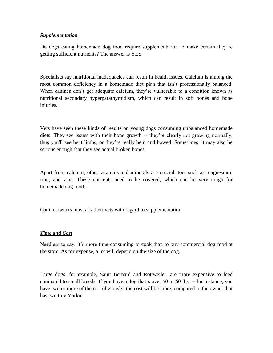### *Supplementation*

Do dogs eating homemade dog food require supplementation to make certain they're getting sufficient nutrients? The answer is YES.

Specialists say nutritional inadequacies can result in health issues. Calcium is among the most common deficiency in a homemade diet plan that isn't professionally balanced. When canines don't get adequate calcium, they're vulnerable to a condition known as nutritional secondary hyperparathyroidism, which can result in soft bones and bone injuries.

Vets have seen these kinds of results on young dogs consuming unbalanced homemade diets. They see issues with their bone growth -- they're clearly not growing normally, thus you'll see bent limbs, or they're really bent and bowed. Sometimes, it may also be serious enough that they see actual broken bones.

Apart from calcium, other vitamins and minerals are crucial, too, such as magnesium, iron, and zinc. These nutrients need to be covered, which can be very tough for homemade dog food.

Canine owners must ask their vets with regard to supplementation.

# *Time and Cost*

Needless to say, it's more time-consuming to cook than to buy commercial dog food at the store. As for expense, a lot will depend on the size of the dog.

Large dogs, for example, Saint Bernard and Rottweiler, are more expensive to feed compared to small breeds. If you have a dog that's over 50 or 60 lbs. -- for instance, you have two or more of them -- obviously, the cost will be more, compared to the owner that has two tiny Yorkie.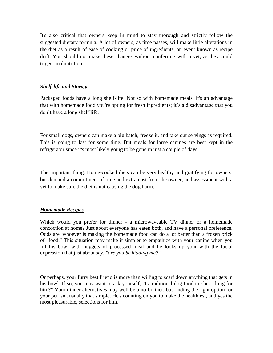It's also critical that owners keep in mind to stay thorough and strictly follow the suggested dietary formula. A lot of owners, as time passes, will make little alterations in the diet as a result of ease of cooking or price of ingredients, an event known as recipe drift. You should not make these changes without conferring with a vet, as they could trigger malnutrition.

# *Shelf-life and Storage*

Packaged foods have a long shelf-life. Not so with homemade meals. It's an advantage that with homemade food you're opting for fresh ingredients; it's a disadvantage that you don't have a long shelf life.

For small dogs, owners can make a big batch, freeze it, and take out servings as required. This is going to last for some time. But meals for large canines are best kept in the refrigerator since it's most likely going to be gone in just a couple of days.

The important thing: Home-cooked diets can be very healthy and gratifying for owners, but demand a commitment of time and extra cost from the owner, and assessment with a vet to make sure the diet is not causing the dog harm.

# *Homemade Recipes*

Which would you prefer for dinner - a microwaveable TV dinner or a homemade concoction at home? Just about everyone has eaten both, and have a personal preference. Odds are, whoever is making the homemade food can do a lot better than a frozen brick of "food." This situation may make it simpler to empathize with your canine when you fill his bowl with nuggets of processed meal and he looks up your with the facial expression that just about say, *"are you be kidding me?"*

Or perhaps, your furry best friend is more than willing to scarf down anything that gets in his bowl. If so, you may want to ask yourself, "Is traditional dog food the best thing for him?" Your dinner alternatives may well be a no-brainer, but finding the right option for your pet isn't usually that simple. He's counting on you to make the healthiest, and yes the most pleasurable, selections for him.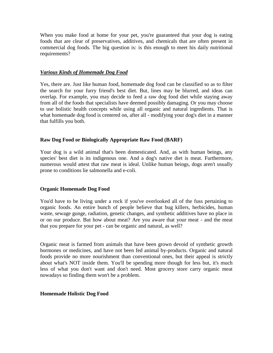When you make food at home for your pet, you're guaranteed that your dog is eating foods that are clear of preservatives, additives, and chemicals that are often present in commercial dog foods. The big question is: is this enough to meet his daily nutritional requirements?

#### *Various Kinds of Homemade Dog Food*

Yes, there are. Just like human food, homemade dog food can be classified so as to filter the search for your furry friend's best diet. But, lines may be blurred, and ideas can overlap. For example, you may decide to feed a raw dog food diet while staying away from all of the foods that specialists have deemed possibly damaging. Or you may choose to use holistic health concepts while using all organic and natural ingredients. That is what homemade dog food is centered on, after all - modifying your dog's diet in a manner that fulfills you both.

#### **Raw Dog Food or Biologically Appropriate Raw Food (BARF)**

Your dog is a wild animal that's been domesticated. And, as with human beings, any species' best diet is its indigenous one. And a dog's native diet is meat. Furthermore, numerous would attest that raw meat is ideal. Unlike human beings, dogs aren't usually prone to conditions lie salmonella and e-coli.

#### **Organic Homemade Dog Food**

You'd have to be living under a rock if you've overlooked all of the fuss pertaining to organic foods. An entire bunch of people believe that bug killers, herbicides, human waste, sewage gunge, radiation, genetic changes, and synthetic additives have no place in or on our produce. But how about meat? Are you aware that your meat - and the meat that you prepare for your pet - can be organic and natural, as well?

Organic meat is farmed from animals that have been grown devoid of synthetic growth hormones or medicines, and have not been fed animal by-products. Organic and natural foods provide no more nourishment than conventional ones, but their appeal is strictly about what's NOT inside them. You'll be spending more though for less but, it's much less of what you don't want and don't need. Most grocery store carry organic meat nowadays so finding them won't be a problem.

#### **Homemade Holistic Dog Food**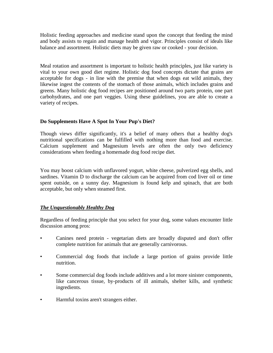Holistic feeding approaches and medicine stand upon the concept that feeding the mind and body assists to regain and manage health and vigor. Principles consist of ideals like balance and assortment. Holistic diets may be given raw or cooked - your decision.

Meal rotation and assortment is important to holistic health principles, just like variety is vital to your own good diet regime. Holistic dog food concepts dictate that grains are acceptable for dogs - in line with the premise that when dogs eat wild animals, they likewise ingest the contents of the stomach of those animals, which includes grains and greens. Many holistic dog food recipes are positioned around two parts protein, one part carbohydrates, and one part veggies. Using these guidelines, you are able to create a variety of recipes.

# **Do Supplements Have A Spot In Your Pup's Diet?**

Though views differ significantly, it's a belief of many others that a healthy dog's nutritional specifications can be fulfilled with nothing more than food and exercise. Calcium supplement and Magnesium levels are often the only two deficiency considerations when feeding a homemade dog food recipe diet.

You may boost calcium with unflavored yogurt, white cheese, pulverized egg shells, and sardines. Vitamin D to discharge the calcium can be acquired from cod liver oil or time spent outside, on a sunny day. Magnesium is found kelp and spinach, that are both acceptable, but only when steamed first.

# *The Unquestionably Healthy Dog*

Regardless of feeding principle that you select for your dog, some values encounter little discussion among pros:

- Canines need protein vegetarian diets are broadly disputed and don't offer complete nutrition for animals that are generally carnivorous.
- Commercial dog foods that include a large portion of grains provide little nutrition.
- Some commercial dog foods include additives and a lot more sinister components, like cancerous tissue, by-products of ill animals, shelter kills, and synthetic ingredients.
- Harmful toxins aren't strangers either.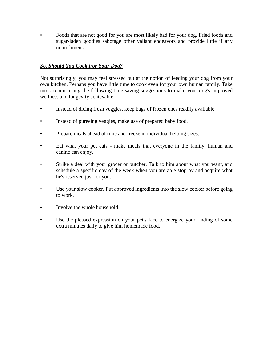• Foods that are not good for you are most likely bad for your dog. Fried foods and sugar-laden goodies sabotage other valiant endeavors and provide little if any nourishment.

# *So, Should You Cook For Your Dog?*

Not surprisingly, you may feel stressed out at the notion of feeding your dog from your own kitchen. Perhaps you have little time to cook even for your own human family. Take into account using the following time-saving suggestions to make your dog's improved wellness and longevity achievable:

- Instead of dicing fresh veggies, keep bags of frozen ones readily available.
- Instead of pureeing veggies, make use of prepared baby food.
- Prepare meals ahead of time and freeze in individual helping sizes.
- Eat what your pet eats make meals that everyone in the family, human and canine can enjoy.
- Strike a deal with your grocer or butcher. Talk to him about what you want, and schedule a specific day of the week when you are able stop by and acquire what he's reserved just for you.
- Use your slow cooker. Put approved ingredients into the slow cooker before going to work.
- Involve the whole household.
- Use the pleased expression on your pet's face to energize your finding of some extra minutes daily to give him homemade food.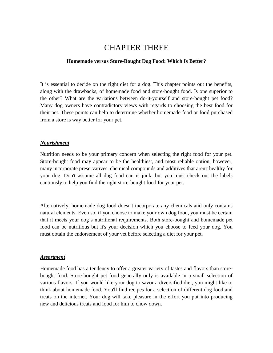# CHAPTER THREE

#### **Homemade versus Store-Bought Dog Food: Which Is Better?**

It is essential to decide on the right diet for a dog. This chapter points out the benefits, along with the drawbacks, of homemade food and store-bought food. Is one superior to the other? What are the variations between do-it-yourself and store-bought pet food? Many dog owners have contradictory views with regards to choosing the best food for their pet. These points can help to determine whether homemade food or food purchased from a store is way better for your pet.

#### *Nourishment*

Nutrition needs to be your primary concern when selecting the right food for your pet. Store-bought food may appear to be the healthiest, and most reliable option, however, many incorporate preservatives, chemical compounds and additives that aren't healthy for your dog. Don't assume all dog food can is junk, but you must check out the labels cautiously to help you find the right store-bought food for your pet.

Alternatively, homemade dog food doesn't incorporate any chemicals and only contains natural elements. Even so, if you choose to make your own dog food, you must be certain that it meets your dog's nutritional requirements. Both store-bought and homemade pet food can be nutritious but it's your decision which you choose to feed your dog. You must obtain the endorsement of your vet before selecting a diet for your pet.

#### *Assortment*

Homemade food has a tendency to offer a greater variety of tastes and flavors than storebought food. Store-bought pet food generally only is available in a small selection of various flavors. If you would like your dog to savor a diversified diet, you might like to think about homemade food. You'll find recipes for a selection of different dog food and treats on the internet. Your dog will take pleasure in the effort you put into producing new and delicious treats and food for him to chow down.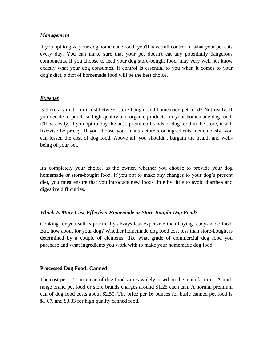#### *Management*

If you opt to give your dog homemade food, you'll have full control of what your pet eats every day. You can make sure that your pet doesn't eat any potentially dangerous components. If you choose to feed your dog store-bought food, may very well not know exactly what your dog consumes. If control is essential to you when it comes to your dog's diet, a diet of homemade food will be the best choice.

# *Expense*

Is there a variation in cost between store-bought and homemade pet food? Not really. If you decide to purchase high-quality and organic products for your homemade dog food, it'll be costly. If you opt to buy the best, premium brands of dog food in the store, it will likewise be pricey. If you choose your manufacturers or ingredients meticulously, you can lessen the cost of dog food. Above all, you shouldn't bargain the health and wellbeing of your pet.

It's completely your choice, as the owner, whether you choose to provide your dog homemade or store-bought food. If you opt to make any changes to your dog's present diet, you must ensure that you introduce new foods little by little to avoid diarrhea and digestive difficulties.

# *Which Is More Cost-Effective: Homemade or Store-Bought Dog Food?*

Cooking for yourself is practically always less expensive than buying ready-made food. But, how about for your dog? Whether homemade dog food cost less than store-bought is determined by a couple of elements, like what grade of commercial dog food you purchase and what ingredients you work with to make your homemade dog food.

#### **Processed Dog Food: Canned**

The cost per 12-ounce can of dog food varies widely based on the manufacturer. A midrange brand pet food or store brands charges around \$1.25 each can. A normal premium can of dog food costs about \$2.50. The price per 16 ounces for basic canned pet food is \$1.67, and \$3.33 for high quality canned food.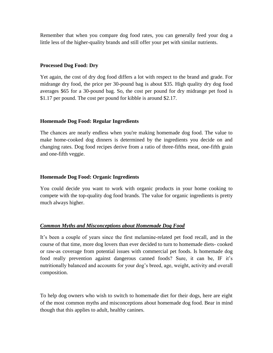Remember that when you compare dog food rates, you can generally feed your dog a little less of the higher-quality brands and still offer your pet with similar nutrients.

#### **Processed Dog Food: Dry**

Yet again, the cost of dry dog food differs a lot with respect to the brand and grade. For midrange dry food, the price per 30-pound bag is about \$35. High quality dry dog food averages \$65 for a 30-pound bag. So, the cost per pound for dry midrange pet food is \$1.17 per pound. The cost per pound for kibble is around \$2.17.

#### **Homemade Dog Food: Regular Ingredients**

The chances are nearly endless when you're making homemade dog food. The value to make home-cooked dog dinners is determined by the ingredients you decide on and changing rates. Dog food recipes derive from a ratio of three-fifths meat, one-fifth grain and one-fifth veggie.

#### **Homemade Dog Food: Organic Ingredients**

You could decide you want to work with organic products in your home cooking to compete with the top-quality dog food brands. The value for organic ingredients is pretty much always higher.

# *Common Myths and Misconceptions about Homemade Dog Food*

It's been a couple of years since the first melamine-related pet food recall, and in the course of that time, more dog lovers than ever decided to turn to homemade diets- cooked or raw-as coverage from potential issues with commercial pet foods. Is homemade dog food really prevention against dangerous canned foods? Sure, it can be, IF it's nutritionally balanced and accounts for your dog's breed, age, weight, activity and overall composition.

To help dog owners who wish to switch to homemade diet for their dogs, here are eight of the most common myths and misconceptions about homemade dog food. Bear in mind though that this applies to adult, healthy canines.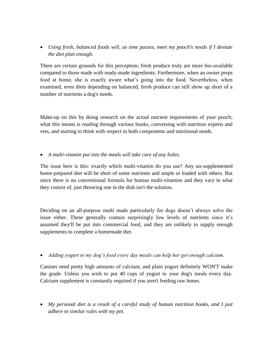*Using fresh, balanced foods will, as time passes, meet my pooch's needs if I deviate the diet plan enough.*

There are certain grounds for this perception; fresh produce truly are more bio-available compared to those made with ready-made ingredients. Furthermore, when an owner preps food at home, she is exactly aware what's going into the food. Nevertheless, when examined, even diets depending on balanced, fresh produce can still show up short of a number of nutrients a dog's needs.

Make-up on this by doing research on the actual nutrient requirements of your pooch; what this means is reading through various books, conversing with nutrition experts and vets, and starting to think with respect to both components and nutritional needs.

*A multi-vitamin put into the meals will take care of any holes.*

The issue here is this: exactly which multi-vitamin do you use? Any un-supplemented home-prepared diet will be short of some nutrients and ample or loaded with others. But since there is no conventional formula for human multi-vitamins and they vary in what they consist of, just throwing one in the dish isn't the solution.

Deciding on an all-purpose multi made particularly for dogs doesn't always solve the issue either. These generally contain surprisingly low levels of nutrients since it's assumed they'll be put into commercial food, and they are unlikely to supply enough supplements to complete a homemade diet.

*Adding yogurt to my dog's food every day meals can help her get enough calcium.*

Canines need pretty high amounts of calcium, and plain yogurt definitely WON'T make the grade. Unless you wish to put 40 cups of yogurt to your dog's meals every day. Calcium supplement is constantly required if you aren't feeding raw bones.

 *My personal diet is a result of a careful study of human nutrition books, and I just adhere to similar rules with my pet.*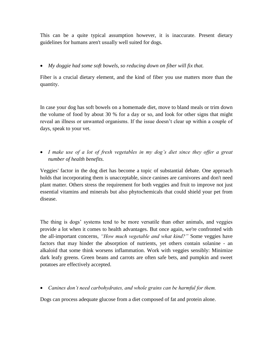This can be a quite typical assumption however, it is inaccurate. Present dietary guidelines for humans aren't usually well suited for dogs.

# *My doggie had some soft bowels, so reducing down on fiber will fix that.*

Fiber is a crucial dietary element, and the kind of fiber you use matters more than the quantity.

In case your dog has soft bowels on a homemade diet, move to bland meals or trim down the volume of food by about 30 % for a day or so, and look for other signs that might reveal an illness or unwanted organisms. If the issue doesn't clear up within a couple of days, speak to your vet.

• *I make use of a lot of fresh vegetables in my dog's diet since they offer a great number of health benefits.*

Veggies' factor in the dog diet has become a topic of substantial debate. One approach holds that incorporating them is unacceptable, since canines are carnivores and don't need plant matter. Others stress the requirement for both veggies and fruit to improve not just essential vitamins and minerals but also phytochemicals that could shield your pet from disease.

The thing is dogs' systems tend to be more versatile than other animals, and veggies provide a lot when it comes to health advantages. But once again, we're confronted with the all-important concerns, *"How much vegetable and what kind?"* Some veggies have factors that may hinder the absorption of nutrients, yet others contain solanine - an alkaloid that some think worsens inflammation. Work with veggies sensibly: Minimize dark leafy greens. Green beans and carrots are often safe bets, and pumpkin and sweet potatoes are effectively accepted.

*Canines don't need carbohydrates, and whole grains can be harmful for them.*

Dogs can process adequate glucose from a diet composed of fat and protein alone.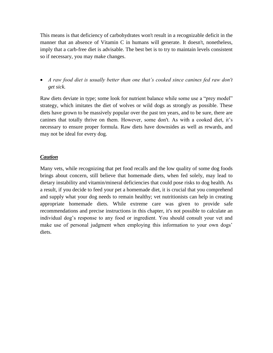This means is that deficiency of carbohydrates won't result in a recognizable deficit in the manner that an absence of Vitamin C in humans will generate. It doesn't, nonetheless, imply that a carb-free diet is advisable. The best bet is to try to maintain levels consistent so if necessary, you may make changes.

 *A raw food diet is usually better than one that's cooked since canines fed raw don't get sick.*

Raw diets deviate in type; some look for nutrient balance while some use a "prey model" strategy, which imitates the diet of wolves or wild dogs as strongly as possible. These diets have grown to be massively popular over the past ten years, and to be sure, there are canines that totally thrive on them. However, some don't. As with a cooked diet, it's necessary to ensure proper formula. Raw diets have downsides as well as rewards, and may not be ideal for every dog.

# *Caution*

Many vets, while recognizing that pet food recalls and the low quality of some dog foods brings about concern, still believe that homemade diets, when fed solely, may lead to dietary instability and vitamin/mineral deficiencies that could pose risks to dog health. As a result, if you decide to feed your pet a homemade diet, it is crucial that you comprehend and supply what your dog needs to remain healthy; vet nutritionists can help in creating appropriate homemade diets. While extreme care was given to provide safe recommendations and precise instructions in this chapter, it's not possible to calculate an individual dog's response to any food or ingredient. You should consult your vet and make use of personal judgment when employing this information to your own dogs' diets.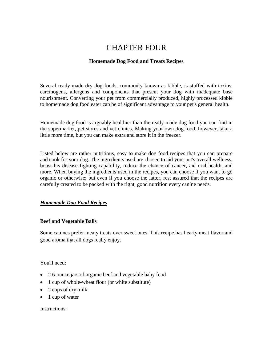# CHAPTER FOUR

# **Homemade Dog Food and Treats Recipes**

Several ready-made dry dog foods, commonly known as kibble, is stuffed with toxins, carcinogens, allergens and components that present your dog with inadequate base nourishment. Converting your pet from commercially produced, highly processed kibble to homemade dog food eater can be of significant advantage to your pet's general health.

Homemade dog food is arguably healthier than the ready-made dog food you can find in the supermarket, pet stores and vet clinics. Making your own dog food, however, take a little more time, but you can make extra and store it in the freezer.

Listed below are rather nutritious, easy to make dog food recipes that you can prepare and cook for your dog. The ingredients used are chosen to aid your pet's overall wellness, boost his disease fighting capability, reduce the chance of cancer, aid oral health, and more. When buying the ingredients used in the recipes, you can choose if you want to go organic or otherwise; but even if you choose the latter, rest assured that the recipes are carefully created to be packed with the right, good nutrition every canine needs.

# *Homemade Dog Food Recipes*

# **Beef and Vegetable Balls**

Some canines prefer meaty treats over sweet ones. This recipe has hearty meat flavor and good aroma that all dogs really enjoy.

You'll need:

- 2 6-ounce jars of organic beef and vegetable baby food
- 1 cup of whole-wheat flour (or white substitute)
- 2 cups of dry milk
- $\bullet$  1 cup of water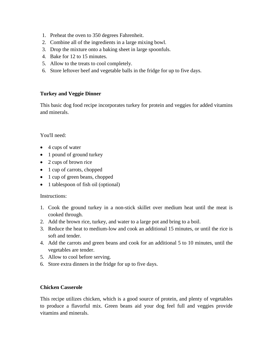- 1. Preheat the oven to 350 degrees Fahrenheit.
- 2. Combine all of the ingredients in a large mixing bowl.
- 3. Drop the mixture onto a baking sheet in large spoonfuls.
- 4. Bake for 12 to 15 minutes.
- 5. Allow to the treats to cool completely.
- 6. Store leftover beef and vegetable balls in the fridge for up to five days.

# **Turkey and Veggie Dinner**

This basic dog food recipe incorporates turkey for protein and veggies for added vitamins and minerals.

# You'll need:

- 4 cups of water
- 1 pound of ground turkey
- 2 cups of brown rice
- 1 cup of carrots, chopped
- 1 cup of green beans, chopped
- 1 tablespoon of fish oil (optional)

# Instructions:

- 1. Cook the ground turkey in a non-stick skillet over medium heat until the meat is cooked through.
- 2. Add the brown rice, turkey, and water to a large pot and bring to a boil.
- 3. Reduce the heat to medium-low and cook an additional 15 minutes, or until the rice is soft and tender.
- 4. Add the carrots and green beans and cook for an additional 5 to 10 minutes, until the vegetables are tender.
- 5. Allow to cool before serving.
- 6. Store extra dinners in the fridge for up to five days.

# **Chicken Casserole**

This recipe utilizes chicken, which is a good source of protein, and plenty of vegetables to produce a flavorful mix. Green beans aid your dog feel full and veggies provide vitamins and minerals.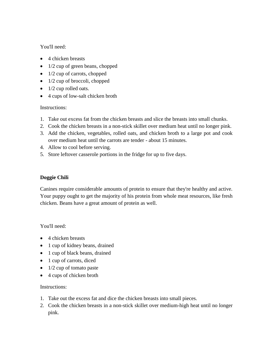# You'll need:

- 4 chicken breasts
- $\bullet$  1/2 cup of green beans, chopped
- $\bullet$  1/2 cup of carrots, chopped
- $\bullet$  1/2 cup of broccoli, chopped
- $\bullet$  1/2 cup rolled oats.
- 4 cups of low-salt chicken broth

# Instructions:

- 1. Take out excess fat from the chicken breasts and slice the breasts into small chunks.
- 2. Cook the chicken breasts in a non-stick skillet over medium heat until no longer pink.
- 3. Add the chicken, vegetables, rolled oats, and chicken broth to a large pot and cook over medium heat until the carrots are tender - about 15 minutes.
- 4. Allow to cool before serving.
- 5. Store leftover casserole portions in the fridge for up to five days.

# **Doggie Chili**

Canines require considerable amounts of protein to ensure that they're healthy and active. Your puppy ought to get the majority of his protein from whole meat resources, like fresh chicken. Beans have a great amount of protein as well.

You'll need:

- 4 chicken breasts
- 1 cup of kidney beans, drained
- 1 cup of black beans, drained
- 1 cup of carrots, diced
- $\bullet$  1/2 cup of tomato paste
- 4 cups of chicken broth

- 1. Take out the excess fat and dice the chicken breasts into small pieces.
- 2. Cook the chicken breasts in a non-stick skillet over medium-high heat until no longer pink.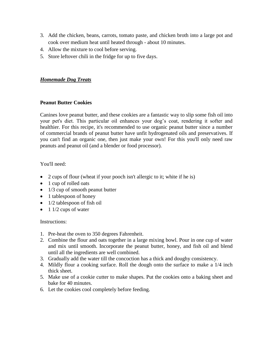- 3. Add the chicken, beans, carrots, tomato paste, and chicken broth into a large pot and cook over medium heat until heated through - about 10 minutes.
- 4. Allow the mixture to cool before serving.
- 5. Store leftover chili in the fridge for up to five days.

## *Homemade Dog Treats*

#### **Peanut Butter Cookies**

Canines love peanut butter, and these cookies are a fantastic way to slip some fish oil into your pet's diet. This particular oil enhances your dog's coat, rendering it softer and healthier. For this recipe, it's recommended to use organic peanut butter since a number of commercial brands of peanut butter have unfit hydrogenated oils and preservatives. If you can't find an organic one, then just make your own! For this you'll only need raw peanuts and peanut oil (and a blender or food processor).

You'll need:

- 2 cups of flour (wheat if your pooch isn't allergic to it; white if he is)
- 1 cup of rolled oats
- 1/3 cup of smooth peanut butter
- 1 tablespoon of honey
- $\bullet$  1/2 tablespoon of fish oil
- $\bullet$  1 1/2 cups of water

- 1. Pre-heat the oven to 350 degrees Fahrenheit.
- 2. Combine the flour and oats together in a large mixing bowl. Pour in one cup of water and mix until smooth. Incorporate the peanut butter, honey, and fish oil and blend until all the ingredients are well combined.
- 3. Gradually add the water till the concoction has a thick and doughy consistency.
- 4. Mildly flour a cooking surface. Roll the dough onto the surface to make a 1/4 inch thick sheet.
- 5. Make use of a cookie cutter to make shapes. Put the cookies onto a baking sheet and bake for 40 minutes.
- 6. Let the cookies cool completely before feeding.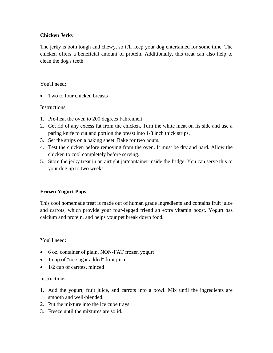# **Chicken Jerky**

The jerky is both tough and chewy, so it'll keep your dog entertained for some time. The chicken offers a beneficial amount of protein. Additionally, this treat can also help to clean the dog's teeth.

## You'll need:

• Two to four chicken breasts

#### Instructions:

- 1. Pre-heat the oven to 200 degrees Fahrenheit.
- 2. Get rid of any excess fat from the chicken. Turn the white meat on its side and use a paring knife to cut and portion the breast into 1/8 inch thick strips.
- 3. Set the strips on a baking sheet. Bake for two hours.
- 4. Test the chicken before removing from the oven. It must be dry and hard. Allow the chicken to cool completely before serving.
- 5. Store the jerky treat in an airtight jar/container inside the fridge. You can serve this to your dog up to two weeks.

# **Frozen Yogurt Pops**

This cool homemade treat is made out of human grade ingredients and contains fruit juice and carrots, which provide your four-legged friend an extra vitamin boost. Yogurt has calcium and protein, and helps your pet break down food.

# You'll need:

- 6 oz. container of plain, NON-FAT frozen yogurt
- 1 cup of "no-sugar added" fruit juice
- $\bullet$  1/2 cup of carrots, minced

- 1. Add the yogurt, fruit juice, and carrots into a bowl. Mix until the ingredients are smooth and well-blended.
- 2. Put the mixture into the ice cube trays.
- 3. Freeze until the mixtures are solid.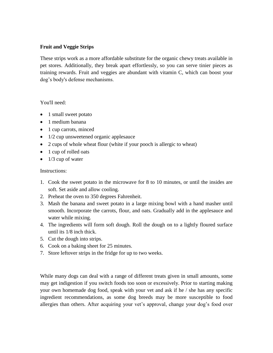### **Fruit and Veggie Strips**

These strips work as a more affordable substitute for the organic chewy treats available in pet stores. Additionally, they break apart effortlessly, so you can serve tinier pieces as training rewards. Fruit and veggies are abundant with vitamin C, which can boost your dog's body's defense mechanisms.

#### You'll need:

- 1 small sweet potato
- 1 medium banana
- 1 cup carrots, minced
- 1/2 cup unsweetened organic applesauce
- 2 cups of whole wheat flour (white if your pooch is allergic to wheat)
- 1 cup of rolled oats
- $\bullet$  1/3 cup of water

#### Instructions:

- 1. Cook the sweet potato in the microwave for 8 to 10 minutes, or until the insides are soft. Set aside and allow cooling.
- 2. Preheat the oven to 350 degrees Fahrenheit.
- 3. Mash the banana and sweet potato in a large mixing bowl with a hand masher until smooth. Incorporate the carrots, flour, and oats. Gradually add in the applesauce and water while mixing.
- 4. The ingredients will form soft dough. Roll the dough on to a lightly floured surface until its 1/8 inch thick.
- 5. Cut the dough into strips.
- 6. Cook on a baking sheet for 25 minutes.
- 7. Store leftover strips in the fridge for up to two weeks.

While many dogs can deal with a range of different treats given in small amounts, some may get indigestion if you switch foods too soon or excessively. Prior to starting making your own homemade dog food, speak with your vet and ask if he / she has any specific ingredient recommendations, as some dog breeds may be more susceptible to food allergies than others. After acquiring your vet's approval, change your dog's food over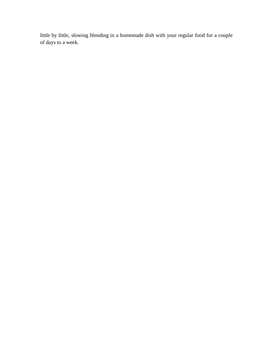little by little, slowing blending in a homemade dish with your regular food for a couple of days to a week.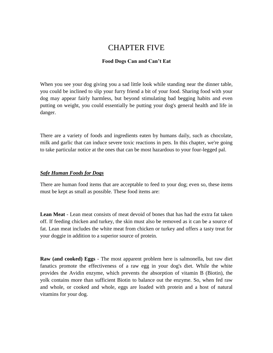# CHAPTER FIVE

#### **Food Dogs Can and Can't Eat**

When you see your dog giving you a sad little look while standing near the dinner table, you could be inclined to slip your furry friend a bit of your food. Sharing food with your dog may appear fairly harmless, but beyond stimulating bad begging habits and even putting on weight, you could essentially be putting your dog's general health and life in danger.

There are a variety of foods and ingredients eaten by humans daily, such as chocolate, milk and garlic that can induce severe toxic reactions in pets. In this chapter, we're going to take particular notice at the ones that can be most hazardous to your four-legged pal.

#### *Safe Human Foods for Dogs*

There are human food items that are acceptable to feed to your dog; even so, these items must be kept as small as possible. These food items are:

**Lean Meat** - Lean meat consists of meat devoid of bones that has had the extra fat taken off. If feeding chicken and turkey, the skin must also be removed as it can be a source of fat. Lean meat includes the white meat from chicken or turkey and offers a tasty treat for your doggie in addition to a superior source of protein.

**Raw (and cooked) Eggs** - The most apparent problem here is salmonella, but raw diet fanatics promote the effectiveness of a raw egg in your dog's diet. While the white provides the Avidin enzyme, which prevents the absorption of vitamin B (Biotin), the yolk contains more than sufficient Biotin to balance out the enzyme. So, when fed raw and whole, or cooked and whole, eggs are loaded with protein and a host of natural vitamins for your dog.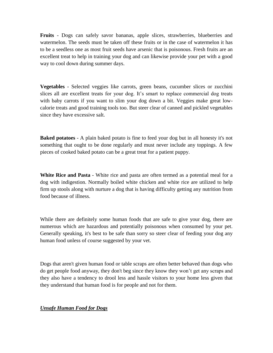**Fruits** - Dogs can safely savor bananas, apple slices, strawberries, blueberries and watermelon. The seeds must be taken off these fruits or in the case of watermelon it has to be a seedless one as most fruit seeds have arsenic that is poisonous. Fresh fruits are an excellent treat to help in training your dog and can likewise provide your pet with a good way to cool down during summer days.

**Vegetables** - Selected veggies like carrots, green beans, cucumber slices or zucchini slices all are excellent treats for your dog. It's smart to replace commercial dog treats with baby carrots if you want to slim your dog down a bit. Veggies make great lowcalorie treats and good training tools too. But steer clear of canned and pickled vegetables since they have excessive salt.

**Baked potatoes** - A plain baked potato is fine to feed your dog but in all honesty it's not something that ought to be done regularly and must never include any toppings. A few pieces of cooked baked potato can be a great treat for a patient puppy.

**White Rice and Pasta** - White rice and pasta are often termed as a potential meal for a dog with indigestion. Normally boiled white chicken and white rice are utilized to help firm up stools along with nurture a dog that is having difficulty getting any nutrition from food because of illness.

While there are definitely some human foods that are safe to give your dog, there are numerous which are hazardous and potentially poisonous when consumed by your pet. Generally speaking, it's best to be safe than sorry so steer clear of feeding your dog any human food unless of course suggested by your vet.

Dogs that aren't given human food or table scraps are often better behaved than dogs who do get people food anyway, they don't beg since they know they won't get any scraps and they also have a tendency to drool less and hassle visitors to your home less given that they understand that human food is for people and not for them.

# *Unsafe Human Food for Dogs*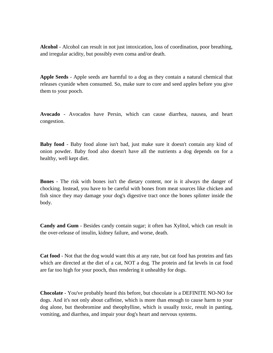**Alcohol** - Alcohol can result in not just intoxication, loss of coordination, poor breathing, and irregular acidity, but possibly even coma and/or death.

**Apple Seeds** - Apple seeds are harmful to a dog as they contain a natural chemical that releases cyanide when consumed. So, make sure to core and seed apples before you give them to your pooch.

**Avocado** - Avocados have Persin, which can cause diarrhea, nausea, and heart congestion.

**Baby food** - Baby food alone isn't bad, just make sure it doesn't contain any kind of onion powder. Baby food also doesn't have all the nutrients a dog depends on for a healthy, well kept diet.

**Bones** - The risk with bones isn't the dietary content, nor is it always the danger of chocking. Instead, you have to be careful with bones from meat sources like chicken and fish since they may damage your dog's digestive tract once the bones splinter inside the body.

**Candy and Gum** - Besides candy contain sugar; it often has Xylitol, which can result in the over-release of insulin, kidney failure, and worse, death.

**Cat food** - Not that the dog would want this at any rate, but cat food has proteins and fats which are directed at the diet of a cat, NOT a dog. The protein and fat levels in cat food are far too high for your pooch, thus rendering it unhealthy for dogs.

**Chocolate** - You've probably heard this before, but chocolate is a DEFINITE NO-NO for dogs. And it's not only about caffeine, which is more than enough to cause harm to your dog alone, but theobromine and theophylline, which is usually toxic, result in panting, vomiting, and diarrhea, and impair your dog's heart and nervous systems.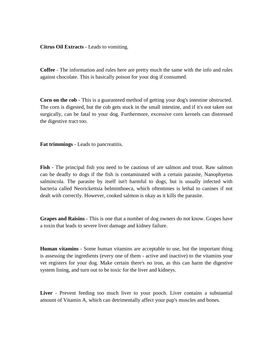**Citrus Oil Extracts** - Leads to vomiting.

**Coffee** - The information and rules here are pretty much the same with the info and rules against chocolate. This is basically poison for your dog if consumed.

**Corn on the cob** - This is a guaranteed method of getting your dog's intestine obstructed. The corn is digested, but the cob gets stuck in the small intestine, and if it's not taken out surgically, can be fatal to your dog. Furthermore, excessive corn kernels can distressed the digestive tract too.

**Fat trimmings** - Leads to pancreatitis.

**Fish** - The principal fish you need to be cautious of are salmon and trout. Raw salmon can be deadly to dogs if the fish is contaminated with a certain parasite, Nanophyetus salmincola. The parasite by itself isn't harmful to dogs, but is usually infected with bacteria called Neorickettsia helminthoeca, which oftentimes is lethal to canines if not dealt with correctly. However, cooked salmon is okay as it kills the parasite.

**Grapes and Raisins** - This is one that a number of dog owners do not know. Grapes have a toxin that leads to severe liver damage and kidney failure.

**Human vitamins** - Some human vitamins are acceptable to use, but the important thing is assessing the ingredients (every one of them - active and inactive) to the vitamins your vet registers for your dog. Make certain there's no iron, as this can harm the digestive system lining, and turn out to be toxic for the liver and kidneys.

**Liver** - Prevent feeding too much liver to your pooch. Liver contains a substantial amount of Vitamin A, which can detrimentally affect your pup's muscles and bones.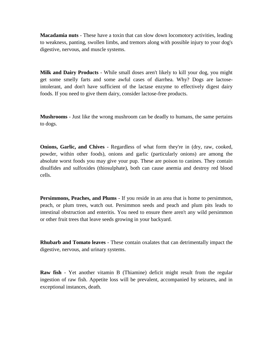**Macadamia nuts** - These have a toxin that can slow down locomotory activities, leading to weakness, panting, swollen limbs, and tremors along with possible injury to your dog's digestive, nervous, and muscle systems.

**Milk and Dairy Products** - While small doses aren't likely to kill your dog, you might get some smelly farts and some awful cases of diarrhea. Why? Dogs are lactoseintolerant, and don't have sufficient of the lactase enzyme to effectively digest dairy foods. If you need to give them dairy, consider lactose-free products.

**Mushrooms** - Just like the wrong mushroom can be deadly to humans, the same pertains to dogs.

**Onions, Garlic, and Chives** - Regardless of what form they're in (dry, raw, cooked, powder, within other foods), onions and garlic (particularly onions) are among the absolute worst foods you may give your pup. These are poison to canines. They contain disulfides and sulfoxides (thiosulphate), both can cause anemia and destroy red blood cells.

**Persimmons, Peaches, and Plums** - If you reside in an area that is home to persimmon, peach, or plum trees, watch out. Persimmon seeds and peach and plum pits leads to intestinal obstruction and enteritis. You need to ensure there aren't any wild persimmon or other fruit trees that leave seeds growing in your backyard.

**Rhubarb and Tomato leaves** - These contain oxalates that can detrimentally impact the digestive, nervous, and urinary systems.

**Raw fish** - Yet another vitamin B (Thiamine) deficit might result from the regular ingestion of raw fish. Appetite loss will be prevalent, accompanied by seizures, and in exceptional instances, death.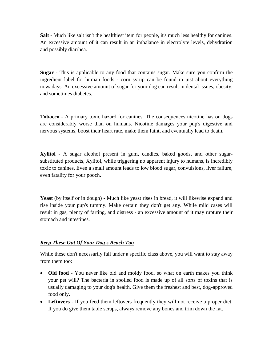**Salt** - Much like salt isn't the healthiest item for people, it's much less healthy for canines. An excessive amount of it can result in an imbalance in electrolyte levels, dehydration and possibly diarrhea.

**Sugar** - This is applicable to any food that contains sugar. Make sure you confirm the ingredient label for human foods - corn syrup can be found in just about everything nowadays. An excessive amount of sugar for your dog can result in dental issues, obesity, and sometimes diabetes.

**Tobacco** - A primary toxic hazard for canines. The consequences nicotine has on dogs are considerably worse than on humans. Nicotine damages your pup's digestive and nervous systems, boost their heart rate, make them faint, and eventually lead to death.

**Xylitol** - A sugar alcohol present in gum, candies, baked goods, and other sugarsubstituted products, Xylitol, while triggering no apparent injury to humans, is incredibly toxic to canines. Even a small amount leads to low blood sugar, convulsions, liver failure, even fatality for your pooch.

Yeast (by itself or in dough) - Much like yeast rises in bread, it will likewise expand and rise inside your pup's tummy. Make certain they don't get any. While mild cases will result in gas, plenty of farting, and distress - an excessive amount of it may rupture their stomach and intestines.

# *Keep These Out Of Your Dog's Reach Too*

While these don't necessarily fall under a specific class above, you will want to stay away from them too:

- Old food You never like old and moldy food, so what on earth makes you think your pet will? The bacteria in spoiled food is made up of all sorts of toxins that is usually damaging to your dog's health. Give them the freshest and best, dog-approved food only.
- **Leftovers** If you feed them leftovers frequently they will not receive a proper diet. If you do give them table scraps, always remove any bones and trim down the fat.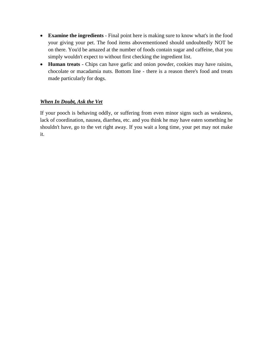- **Examine the ingredients** Final point here is making sure to know what's in the food your giving your pet. The food items abovementioned should undoubtedly NOT be on there. You'd be amazed at the number of foods contain sugar and caffeine, that you simply wouldn't expect to without first checking the ingredient list.
- **Human treats** Chips can have garlic and onion powder, cookies may have raisins, chocolate or macadamia nuts. Bottom line - there is a reason there's food and treats made particularly for dogs.

# *When In Doubt, Ask the Vet*

If your pooch is behaving oddly, or suffering from even minor signs such as weakness, lack of coordination, nausea, diarrhea, etc. and you think he may have eaten something he shouldn't have, go to the vet right away. If you wait a long time, your pet may not make it.